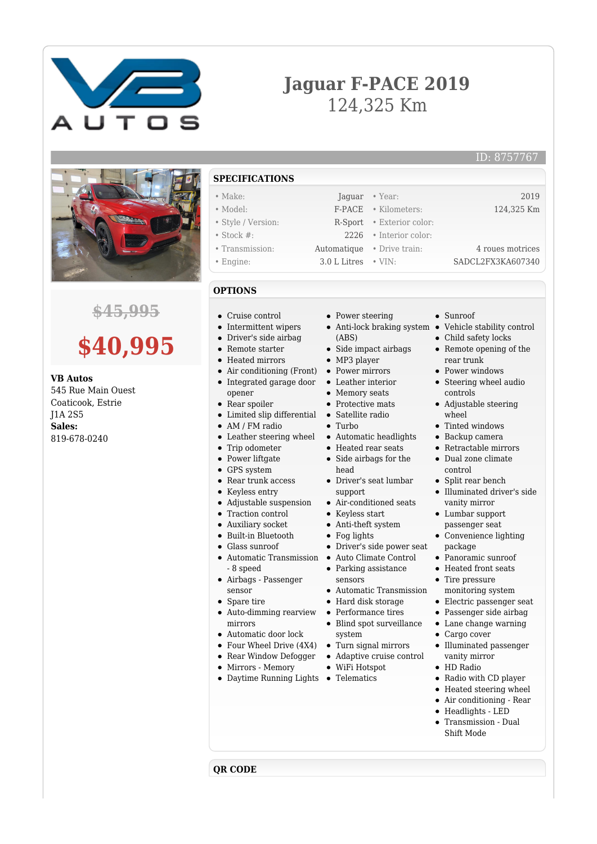

## **Jaguar F-PACE 2019** 124,325 Km



### **\$45,995**

# **\$40,995**

**VB Autos** 545 Rue Main Ouest Coaticook, Estrie J1A 2S5 **Sales:** 819-678-0240

**SPECIFICATIONS**

#### • Make: Jaquar • Year: 2019

- Model: F-PACE Kilometers: 124,325 Km • Style / Version: R-Sport • Exterior color: • Stock #: 2226 • Interior color:
- Transmission: Automatique Drive train: 4 roues motrices
- Engine: 3.0 L Litres VIN: SADCL2FX3KA607340

### **OPTIONS**

- Cruise control
- Intermittent wipers
- Driver's side airbag
- Remote starter
- Heated mirrors
- Air conditioning (Front) • Integrated garage door
- opener  $\blacksquare$
- Rear spoiler
- Limited slip differential  $\bullet$
- AM / FM radio  $\bullet$
- Leather steering wheel
- Trip odometer  $\bullet$
- Power liftgate
- GPS system
- Rear trunk access
- $\bullet$ Keyless entry
- Adjustable suspension  $\bullet$  $\bullet$ 
	- Traction control
- Auxiliary socket  $\bullet$
- Built-in Bluetooth  $\blacksquare$
- Glass sunroof
- $\bullet$ Automatic Transmission - 8 speed
- Airbags Passenger sensor
- Spare tire

**QR CODE**

- Auto-dimming rearview mirrors
- Automatic door lock
- 
- Rear Window Defogger
- Mirrors Memory
- Daytime Running Lights Telematics
- Power steering
- Anti-lock braking system Vehicle stability control (ABS)
- Side impact airbags
- MP3 player
- Power mirrors
- Leather interior
- Memory seats
- Protective mats Satellite radio
- $\bullet$  Turbo
- 
- Automatic headlights • Heated rear seats
- Side airbags for the head
- Driver's seat lumbar support
- Air-conditioned seats
- Keyless start
- Anti-theft system
- Fog lights
- Driver's side power seat
- Auto Climate Control
- Parking assistance sensors
- Automatic Transmission
- Hard disk storage
- Performance tires
- Blind spot surveillance system
- Four Wheel Drive (4X4) Turn signal mirrors
	- Adaptive cruise control
	- WiFi Hotspot
		-
- Sunroof
- 
- Child safety locks
- Remote opening of the
- rear trunk
- Power windows
- Steering wheel audio controls
- Adjustable steering wheel
- Tinted windows
- Backup camera
- Retractable mirrors
- Dual zone climate control
- $\bullet$ Split rear bench
- Illuminated driver's side vanity mirror
- Lumbar support passenger seat
- Convenience lighting package
- Panoramic sunroof
- Heated front seats
- Tire pressure monitoring system
- Electric passenger seat
- Passenger side airbag
- Lane change warning
- Cargo cover  $\bullet$
- Illuminated passenger vanity mirror
- HD Radio
- Radio with CD player
- Heated steering wheel
- Air conditioning Rear
- Headlights LED Transmission - Dual

Shift Mode